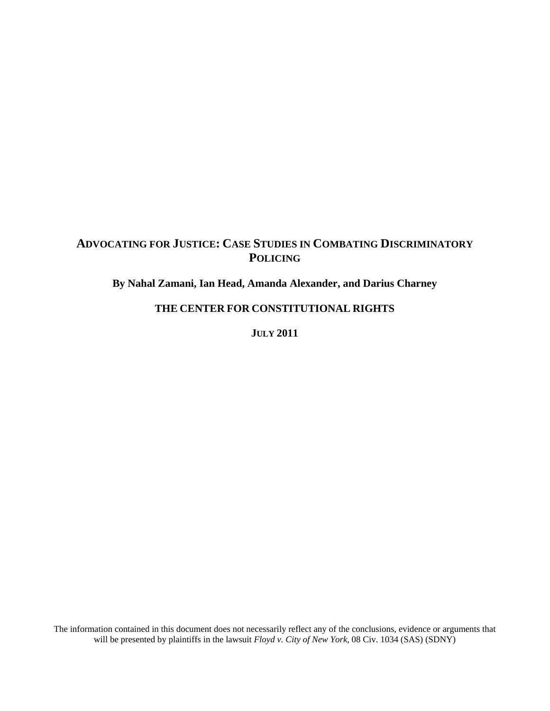# **ADVOCATING FOR JUSTICE: CASE STUDIES IN COMBATING DISCRIMINATORY POLICING**

## **By Nahal Zamani, Ian Head, Amanda Alexander, and Darius Charney**

**THE CENTER FOR CONSTITUTIONAL RIGHTS** 

**JULY 2011** 

The information contained in this document does not necessarily reflect any of the conclusions, evidence or arguments that will be presented by plaintiffs in the lawsuit *Floyd v. City of New York*, 08 Civ. 1034 (SAS) (SDNY)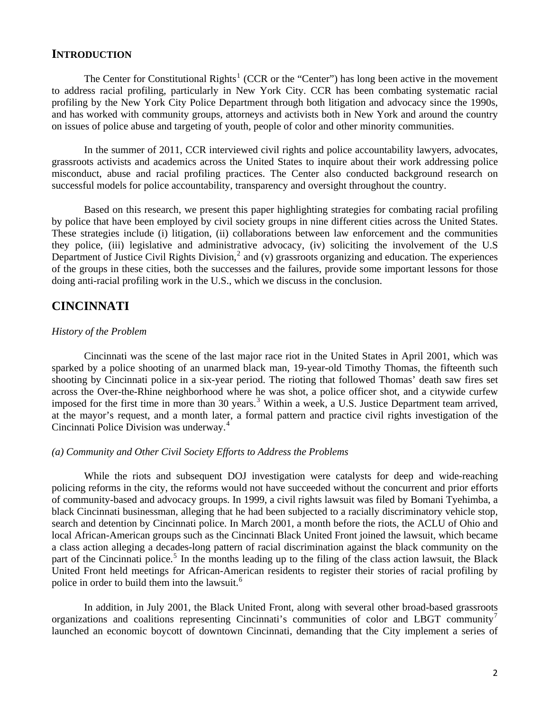## **INTRODUCTION**

The Center for Constitutional Rights<sup>1</sup> (CCR or the "Center") has long been active in the movement to address racial profiling, particularly in New York City. CCR has been combating systematic racial profiling by the New York City Police Department through both litigation and advocacy since the 1990s, and has worked with community groups, attorneys and activists both in New York and around the country on issues of police abuse and targeting of youth, people of color and other minority communities.

In the summer of 2011, CCR interviewed civil rights and police accountability lawyers, advocates, grassroots activists and academics across the United States to inquire about their work addressing police misconduct, abuse and racial profiling practices. The Center also conducted background research on successful models for police accountability, transparency and oversight throughout the country.

Based on this research, we present this paper highlighting strategies for combating racial profiling by police that have been employed by civil society groups in nine different cities across the United States. These strategies include (i) litigation, (ii) collaborations between law enforcement and the communities they police, (iii) legislative and administrative advocacy, (iv) soliciting the involvement of the U.S Department of Justice Civil Rights Division, $^2$  and (v) grassroots organizing and education. The experiences of the groups in these cities, both the successes and the failures, provide some important lessons for those doing anti-racial profiling work in the U.S., which we discuss in the conclusion.

## **CINCINNATI**

#### *History of the Problem*

Cincinnati was the scene of the last major race riot in the United States in April 2001, which was sparked by a police shooting of an unarmed black man, 19-year-old Timothy Thomas, the fifteenth such shooting by Cincinnati police in a six-year period. The rioting that followed Thomas' death saw fires set across the Over-the-Rhine neighborhood where he was shot, a police officer shot, and a citywide curfew imposed for the first time in more than 30 years.<sup>3</sup> Within a week, a U.S. Justice Department team arrived, at the mayor's request, and a month later, a formal pattern and practice civil rights investigation of the Cincinnati Police Division was underway.<sup>4</sup>

#### *(a) Community and Other Civil Society Efforts to Address the Problems*

While the riots and subsequent DOJ investigation were catalysts for deep and wide-reaching policing reforms in the city, the reforms would not have succeeded without the concurrent and prior efforts of community-based and advocacy groups. In 1999, a civil rights lawsuit was filed by Bomani Tyehimba, a black Cincinnati businessman, alleging that he had been subjected to a racially discriminatory vehicle stop, search and detention by Cincinnati police. In March 2001, a month before the riots, the ACLU of Ohio and local African-American groups such as the Cincinnati Black United Front joined the lawsuit, which became a class action alleging a decades-long pattern of racial discrimination against the black community on the part of the Cincinnati police.<sup>5</sup> In the months leading up to the filing of the class action lawsuit, the Black United Front held meetings for African-American residents to register their stories of racial profiling by police in order to build them into the lawsuit.<sup>6</sup>

In addition, in July 2001, the Black United Front, along with several other broad-based grassroots organizations and coalitions representing Cincinnati's communities of color and LBGT community<sup>7</sup> launched an economic boycott of downtown Cincinnati, demanding that the City implement a series of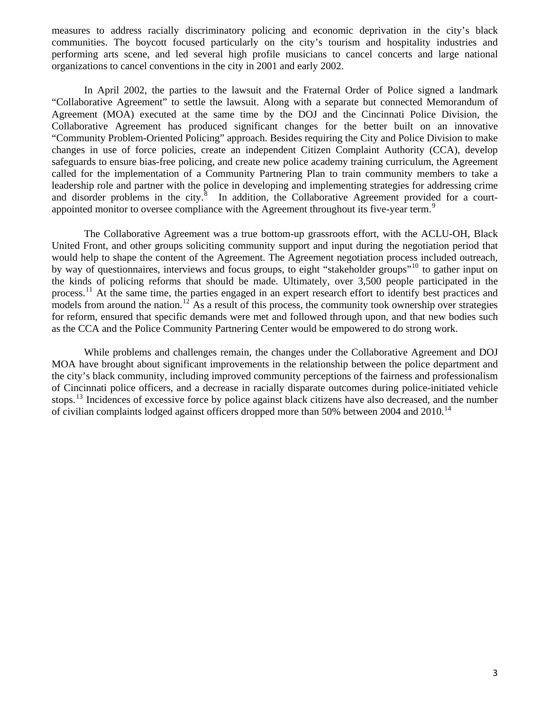measures to address racially discriminatory policing and economic deprivation in the city's black communities. The boycott focused particularly on the city's tourism and hospitality industries and performing arts scene, and led several high profile musicians to cancel concerts and large national organizations to cancel conventions in the city in 2001 and early 2002.

 In April 2002, the parties to the lawsuit and the Fraternal Order of Police signed a landmark "Collaborative Agreement" to settle the lawsuit. Along with a separate but connected Memorandum of Agreement (MOA) executed at the same time by the DOJ and the Cincinnati Police Division, the Collaborative Agreement has produced significant changes for the better built on an innovative "Community Problem-Oriented Policing" approach. Besides requiring the City and Police Division to make changes in use of force policies, create an independent Citizen Complaint Authority (CCA), develop safeguards to ensure bias-free policing, and create new police academy training curriculum, the Agreement called for the implementation of a Community Partnering Plan to train community members to take a leadership role and partner with the police in developing and implementing strategies for addressing crime and disorder problems in the city. $8$  In addition, the Collaborative Agreement provided for a courtappointed monitor to oversee compliance with the Agreement throughout its five-year term.<sup>9</sup>

The Collaborative Agreement was a true bottom-up grassroots effort, with the ACLU-OH, Black United Front, and other groups soliciting community support and input during the negotiation period that would help to shape the content of the Agreement. The Agreement negotiation process included outreach, by way of questionnaires, interviews and focus groups, to eight "stakeholder groups"<sup>10</sup> to gather input on the kinds of policing reforms that should be made. Ultimately, over 3,500 people participated in the process.11 At the same time, the parties engaged in an expert research effort to identify best practices and models from around the nation.<sup>12</sup> As a result of this process, the community took ownership over strategies for reform, ensured that specific demands were met and followed through upon, and that new bodies such as the CCA and the Police Community Partnering Center would be empowered to do strong work.

While problems and challenges remain, the changes under the Collaborative Agreement and DOJ MOA have brought about significant improvements in the relationship between the police department and the city's black community, including improved community perceptions of the fairness and professionalism of Cincinnati police officers, and a decrease in racially disparate outcomes during police-initiated vehicle stops.<sup>13</sup> Incidences of excessive force by police against black citizens have also decreased, and the number of civilian complaints lodged against officers dropped more than 50% between 2004 and 2010.<sup>14</sup>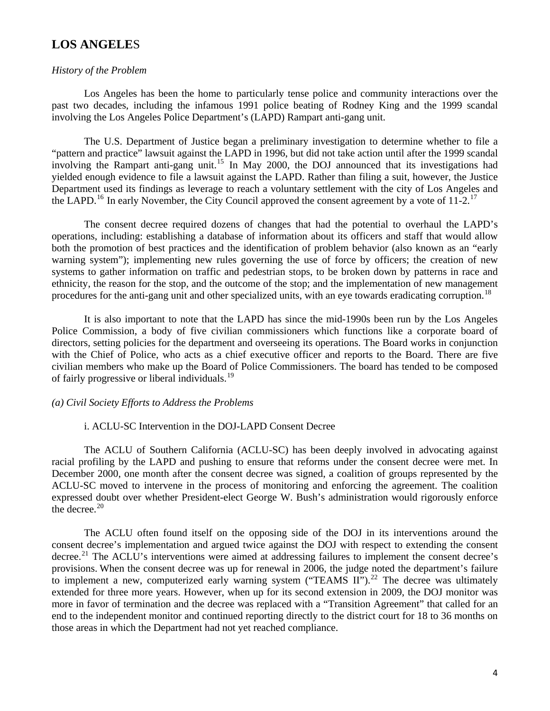## **LOS ANGELE**S

#### *History of the Problem*

Los Angeles has been the home to particularly tense police and community interactions over the past two decades, including the infamous 1991 police beating of Rodney King and the 1999 scandal involving the Los Angeles Police Department's (LAPD) Rampart anti-gang unit.

The U.S. Department of Justice began a preliminary investigation to determine whether to file a "pattern and practice" lawsuit against the LAPD in 1996, but did not take action until after the 1999 scandal involving the Rampart anti-gang unit.<sup>15</sup> In May 2000, the DOJ announced that its investigations had yielded enough evidence to file a lawsuit against the LAPD. Rather than filing a suit, however, the Justice Department used its findings as leverage to reach a voluntary settlement with the city of Los Angeles and the LAPD.<sup>16</sup> In early November, the City Council approved the consent agreement by a vote of  $11{\text -}2$ .<sup>17</sup>

The consent decree required dozens of changes that had the potential to overhaul the LAPD's operations, including: establishing a database of information about its officers and staff that would allow both the promotion of best practices and the identification of problem behavior (also known as an "early warning system"); implementing new rules governing the use of force by officers; the creation of new systems to gather information on traffic and pedestrian stops, to be broken down by patterns in race and ethnicity, the reason for the stop, and the outcome of the stop; and the implementation of new management procedures for the anti-gang unit and other specialized units, with an eye towards eradicating corruption.<sup>18</sup>

It is also important to note that the LAPD has since the mid-1990s been run by the Los Angeles Police Commission, a body of five civilian commissioners which functions like a corporate board of directors, setting policies for the department and overseeing its operations. The Board works in conjunction with the Chief of Police, who acts as a chief executive officer and reports to the Board. There are five civilian members who make up the Board of Police Commissioners. The board has tended to be composed of fairly progressive or liberal individuals.<sup>19</sup>

#### *(a) Civil Society Efforts to Address the Problems*

#### i. ACLU-SC Intervention in the DOJ-LAPD Consent Decree

The ACLU of Southern California (ACLU-SC) has been deeply involved in advocating against racial profiling by the LAPD and pushing to ensure that reforms under the consent decree were met. In December 2000, one month after the consent decree was signed, a coalition of groups represented by the ACLU-SC moved to intervene in the process of monitoring and enforcing the agreement. The coalition expressed doubt over whether President-elect George W. Bush's administration would rigorously enforce the decree. $20$ 

The ACLU often found itself on the opposing side of the DOJ in its interventions around the consent decree's implementation and argued twice against the DOJ with respect to extending the consent decree.<sup>21</sup> The ACLU's interventions were aimed at addressing failures to implement the consent decree's provisions. When the consent decree was up for renewal in 2006, the judge noted the department's failure to implement a new, computerized early warning system ("TEAMS II").<sup>22</sup> The decree was ultimately extended for three more years. However, when up for its second extension in 2009, the DOJ monitor was more in favor of termination and the decree was replaced with a "Transition Agreement" that called for an end to the independent monitor and continued reporting directly to the district court for 18 to 36 months on those areas in which the Department had not yet reached compliance.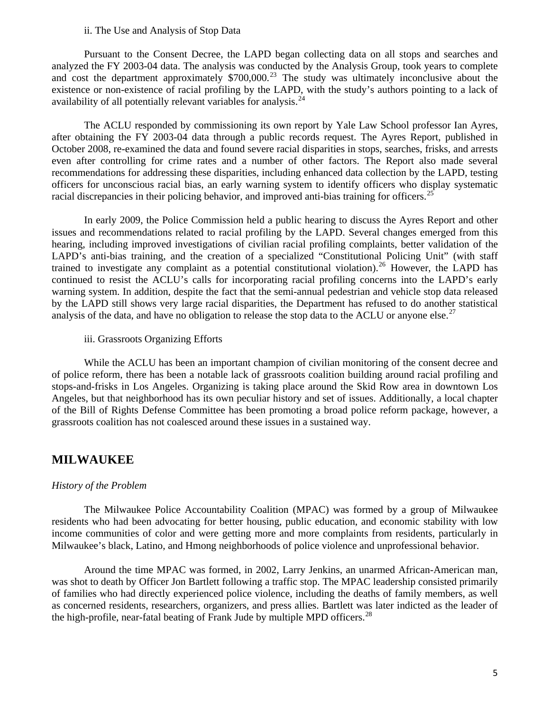#### ii. The Use and Analysis of Stop Data

Pursuant to the Consent Decree, the LAPD began collecting data on all stops and searches and analyzed the FY 2003-04 data. The analysis was conducted by the Analysis Group, took years to complete and cost the department approximately \$700,000.<sup>23</sup> The study was ultimately inconclusive about the existence or non-existence of racial profiling by the LAPD, with the study's authors pointing to a lack of availability of all potentially relevant variables for analysis.<sup>24</sup>

The ACLU responded by commissioning its own report by Yale Law School professor Ian Ayres, after obtaining the FY 2003-04 data through a public records request. The Ayres Report, published in October 2008, re-examined the data and found severe racial disparities in stops, searches, frisks, and arrests even after controlling for crime rates and a number of other factors. The Report also made several recommendations for addressing these disparities, including enhanced data collection by the LAPD, testing officers for unconscious racial bias, an early warning system to identify officers who display systematic racial discrepancies in their policing behavior, and improved anti-bias training for officers.<sup>25</sup>

In early 2009, the Police Commission held a public hearing to discuss the Ayres Report and other issues and recommendations related to racial profiling by the LAPD. Several changes emerged from this hearing, including improved investigations of civilian racial profiling complaints, better validation of the LAPD's anti-bias training, and the creation of a specialized "Constitutional Policing Unit" (with staff trained to investigate any complaint as a potential constitutional violation).<sup>26</sup> However, the LAPD has continued to resist the ACLU's calls for incorporating racial profiling concerns into the LAPD's early warning system. In addition, despite the fact that the semi-annual pedestrian and vehicle stop data released by the LAPD still shows very large racial disparities, the Department has refused to do another statistical analysis of the data, and have no obligation to release the stop data to the ACLU or anyone else.<sup>27</sup>

iii. Grassroots Organizing Efforts

While the ACLU has been an important champion of civilian monitoring of the consent decree and of police reform, there has been a notable lack of grassroots coalition building around racial profiling and stops-and-frisks in Los Angeles. Organizing is taking place around the Skid Row area in downtown Los Angeles, but that neighborhood has its own peculiar history and set of issues. Additionally, a local chapter of the Bill of Rights Defense Committee has been promoting a broad police reform package, however, a grassroots coalition has not coalesced around these issues in a sustained way.

## **MILWAUKEE**

#### *History of the Problem*

The Milwaukee Police Accountability Coalition (MPAC) was formed by a group of Milwaukee residents who had been advocating for better housing, public education, and economic stability with low income communities of color and were getting more and more complaints from residents, particularly in Milwaukee's black, Latino, and Hmong neighborhoods of police violence and unprofessional behavior.

Around the time MPAC was formed, in 2002, Larry Jenkins, an unarmed African-American man, was shot to death by Officer Jon Bartlett following a traffic stop. The MPAC leadership consisted primarily of families who had directly experienced police violence, including the deaths of family members, as well as concerned residents, researchers, organizers, and press allies. Bartlett was later indicted as the leader of the high-profile, near-fatal beating of Frank Jude by multiple MPD officers.<sup>28</sup>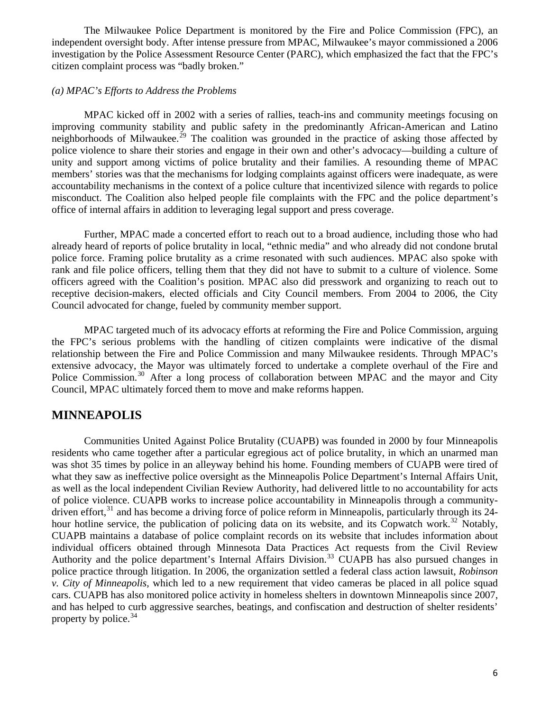The Milwaukee Police Department is monitored by the Fire and Police Commission (FPC), an independent oversight body. After intense pressure from MPAC, Milwaukee's mayor commissioned a 2006 investigation by the Police Assessment Resource Center (PARC), which emphasized the fact that the FPC's citizen complaint process was "badly broken."

## *(a) MPAC's Efforts to Address the Problems*

MPAC kicked off in 2002 with a series of rallies, teach-ins and community meetings focusing on improving community stability and public safety in the predominantly African-American and Latino neighborhoods of Milwaukee.<sup>29</sup> The coalition was grounded in the practice of asking those affected by police violence to share their stories and engage in their own and other's advocacy—building a culture of unity and support among victims of police brutality and their families. A resounding theme of MPAC members' stories was that the mechanisms for lodging complaints against officers were inadequate, as were accountability mechanisms in the context of a police culture that incentivized silence with regards to police misconduct. The Coalition also helped people file complaints with the FPC and the police department's office of internal affairs in addition to leveraging legal support and press coverage.

Further, MPAC made a concerted effort to reach out to a broad audience, including those who had already heard of reports of police brutality in local, "ethnic media" and who already did not condone brutal police force. Framing police brutality as a crime resonated with such audiences. MPAC also spoke with rank and file police officers, telling them that they did not have to submit to a culture of violence. Some officers agreed with the Coalition's position. MPAC also did presswork and organizing to reach out to receptive decision-makers, elected officials and City Council members. From 2004 to 2006, the City Council advocated for change, fueled by community member support.

MPAC targeted much of its advocacy efforts at reforming the Fire and Police Commission, arguing the FPC's serious problems with the handling of citizen complaints were indicative of the dismal relationship between the Fire and Police Commission and many Milwaukee residents. Through MPAC's extensive advocacy, the Mayor was ultimately forced to undertake a complete overhaul of the Fire and Police Commission.<sup>30</sup> After a long process of collaboration between MPAC and the mayor and City Council, MPAC ultimately forced them to move and make reforms happen.

## **MINNEAPOLIS**

Communities United Against Police Brutality (CUAPB) was founded in 2000 by four Minneapolis residents who came together after a particular egregious act of police brutality, in which an unarmed man was shot 35 times by police in an alleyway behind his home. Founding members of CUAPB were tired of what they saw as ineffective police oversight as the Minneapolis Police Department's Internal Affairs Unit, as well as the local independent Civilian Review Authority, had delivered little to no accountability for acts of police violence. CUAPB works to increase police accountability in Minneapolis through a communitydriven effort, $31$  and has become a driving force of police reform in Minneapolis, particularly through its 24hour hotline service, the publication of policing data on its website, and its Copwatch work.<sup>32</sup> Notably, CUAPB maintains a database of police complaint records on its website that includes information about individual officers obtained through Minnesota Data Practices Act requests from the Civil Review Authority and the police department's Internal Affairs Division.<sup>33</sup> CUAPB has also pursued changes in police practice through litigation. In 2006, the organization settled a federal class action lawsuit, *Robinson v. City of Minneapolis,* which led to a new requirement that video cameras be placed in all police squad cars. CUAPB has also monitored police activity in homeless shelters in downtown Minneapolis since 2007, and has helped to curb aggressive searches, beatings, and confiscation and destruction of shelter residents' property by police.<sup>34</sup>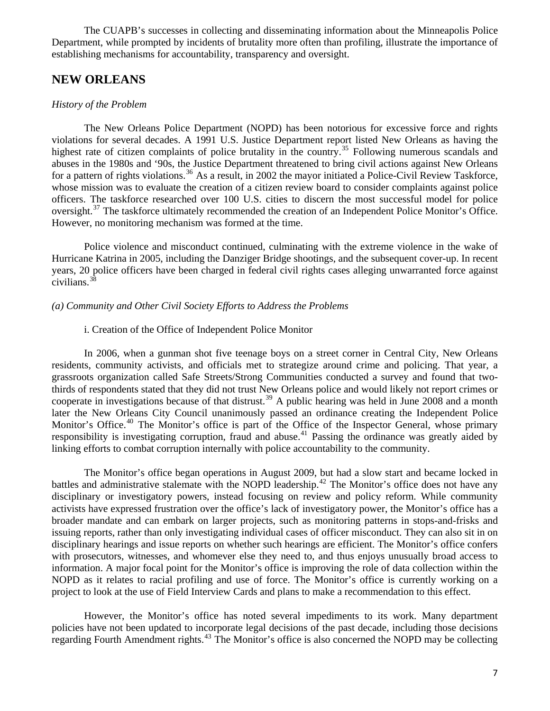The CUAPB's successes in collecting and disseminating information about the Minneapolis Police Department, while prompted by incidents of brutality more often than profiling, illustrate the importance of establishing mechanisms for accountability, transparency and oversight.

## **NEW ORLEANS**

## *History of the Problem*

The New Orleans Police Department (NOPD) has been notorious for excessive force and rights violations for several decades. A 1991 U.S. Justice Department report listed New Orleans as having the highest rate of citizen complaints of police brutality in the country.<sup>35</sup> Following numerous scandals and abuses in the 1980s and '90s, the Justice Department threatened to bring civil actions against New Orleans for a pattern of rights violations.<sup>36</sup> As a result, in 2002 the mayor initiated a Police-Civil Review Taskforce, whose mission was to evaluate the creation of a citizen review board to consider complaints against police officers. The taskforce researched over 100 U.S. cities to discern the most successful model for police oversight.<sup>37</sup> The taskforce ultimately recommended the creation of an Independent Police Monitor's Office. However, no monitoring mechanism was formed at the time.

Police violence and misconduct continued, culminating with the extreme violence in the wake of Hurricane Katrina in 2005, including the Danziger Bridge shootings, and the subsequent cover-up. In recent years, 20 police officers have been charged in federal civil rights cases alleging unwarranted force against civilians.38

## *(a) Community and Other Civil Society Efforts to Address the Problems*

### i. Creation of the Office of Independent Police Monitor

In 2006, when a gunman shot five teenage boys on a street corner in Central City, New Orleans residents, community activists, and officials met to strategize around crime and policing. That year, a grassroots organization called Safe Streets/Strong Communities conducted a survey and found that twothirds of respondents stated that they did not trust New Orleans police and would likely not report crimes or cooperate in investigations because of that distrust.<sup>39</sup> A public hearing was held in June  $2008$  and a month later the New Orleans City Council unanimously passed an ordinance creating the Independent Police Monitor's Office.<sup>40</sup> The Monitor's office is part of the Office of the Inspector General, whose primary responsibility is investigating corruption, fraud and abuse.<sup>41</sup> Passing the ordinance was greatly aided by linking efforts to combat corruption internally with police accountability to the community.

The Monitor's office began operations in August 2009, but had a slow start and became locked in battles and administrative stalemate with the NOPD leadership.<sup>42</sup> The Monitor's office does not have any disciplinary or investigatory powers, instead focusing on review and policy reform. While community activists have expressed frustration over the office's lack of investigatory power, the Monitor's office has a broader mandate and can embark on larger projects, such as monitoring patterns in stops-and-frisks and issuing reports, rather than only investigating individual cases of officer misconduct. They can also sit in on disciplinary hearings and issue reports on whether such hearings are efficient. The Monitor's office confers with prosecutors, witnesses, and whomever else they need to, and thus enjoys unusually broad access to information. A major focal point for the Monitor's office is improving the role of data collection within the NOPD as it relates to racial profiling and use of force. The Monitor's office is currently working on a project to look at the use of Field Interview Cards and plans to make a recommendation to this effect.

However, the Monitor's office has noted several impediments to its work. Many department policies have not been updated to incorporate legal decisions of the past decade, including those decisions regarding Fourth Amendment rights.<sup>43</sup> The Monitor's office is also concerned the NOPD may be collecting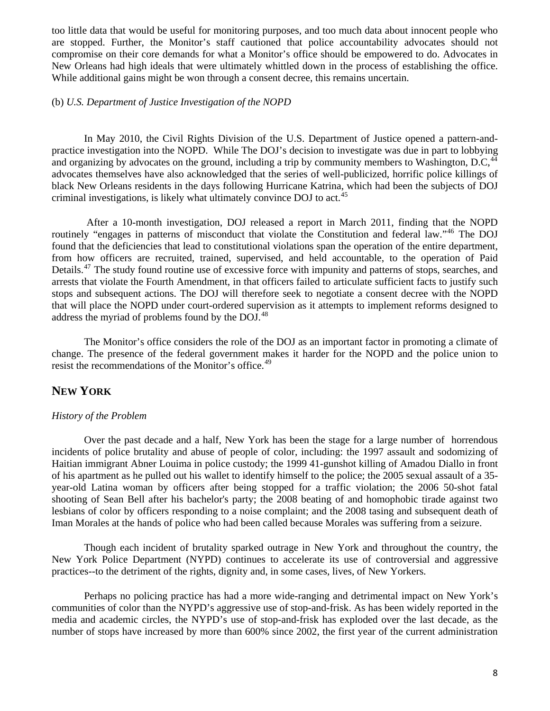too little data that would be useful for monitoring purposes, and too much data about innocent people who are stopped. Further, the Monitor's staff cautioned that police accountability advocates should not compromise on their core demands for what a Monitor's office should be empowered to do. Advocates in New Orleans had high ideals that were ultimately whittled down in the process of establishing the office. While additional gains might be won through a consent decree, this remains uncertain.

#### (b) *U.S. Department of Justice Investigation of the NOPD*

In May 2010, the Civil Rights Division of the U.S. Department of Justice opened a pattern-andpractice investigation into the NOPD. While The DOJ's decision to investigate was due in part to lobbying and organizing by advocates on the ground, including a trip by community members to Washington, D.C,<sup>44</sup> advocates themselves have also acknowledged that the series of well-publicized, horrific police killings of black New Orleans residents in the days following Hurricane Katrina, which had been the subjects of DOJ criminal investigations, is likely what ultimately convince DOJ to act. $45$ 

 After a 10-month investigation, DOJ released a report in March 2011, finding that the NOPD routinely "engages in patterns of misconduct that violate the Constitution and federal law."46 The DOJ found that the deficiencies that lead to constitutional violations span the operation of the entire department, from how officers are recruited, trained, supervised, and held accountable, to the operation of Paid Details.<sup>47</sup> The study found routine use of excessive force with impunity and patterns of stops, searches, and arrests that violate the Fourth Amendment, in that officers failed to articulate sufficient facts to justify such stops and subsequent actions. The DOJ will therefore seek to negotiate a consent decree with the NOPD that will place the NOPD under court-ordered supervision as it attempts to implement reforms designed to address the myriad of problems found by the DOJ.<sup>48</sup>

The Monitor's office considers the role of the DOJ as an important factor in promoting a climate of change. The presence of the federal government makes it harder for the NOPD and the police union to resist the recommendations of the Monitor's office.<sup>49</sup>

## **NEW YORK**

### *History of the Problem*

Over the past decade and a half, New York has been the stage for a large number of horrendous incidents of police brutality and abuse of people of color, including: the 1997 assault and sodomizing of Haitian immigrant Abner Louima in police custody; the 1999 41-gunshot killing of Amadou Diallo in front of his apartment as he pulled out his wallet to identify himself to the police; the 2005 sexual assault of a 35 year-old Latina woman by officers after being stopped for a traffic violation; the 2006 50-shot fatal shooting of Sean Bell after his bachelor's party; the 2008 beating of and homophobic tirade against two lesbians of color by officers responding to a noise complaint; and the 2008 tasing and subsequent death of Iman Morales at the hands of police who had been called because Morales was suffering from a seizure.

Though each incident of brutality sparked outrage in New York and throughout the country, the New York Police Department (NYPD) continues to accelerate its use of controversial and aggressive practices--to the detriment of the rights, dignity and, in some cases, lives, of New Yorkers.

Perhaps no policing practice has had a more wide-ranging and detrimental impact on New York's communities of color than the NYPD's aggressive use of stop-and-frisk. As has been widely reported in the media and academic circles, the NYPD's use of stop-and-frisk has exploded over the last decade, as the number of stops have increased by more than 600% since 2002, the first year of the current administration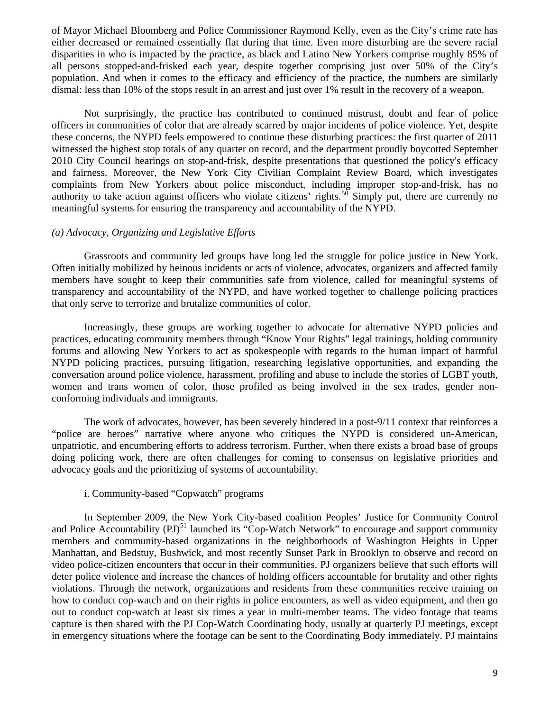of Mayor Michael Bloomberg and Police Commissioner Raymond Kelly, even as the City's crime rate has either decreased or remained essentially flat during that time. Even more disturbing are the severe racial disparities in who is impacted by the practice, as black and Latino New Yorkers comprise roughly 85% of all persons stopped-and-frisked each year, despite together comprising just over 50% of the City's population. And when it comes to the efficacy and efficiency of the practice, the numbers are similarly dismal: less than 10% of the stops result in an arrest and just over 1% result in the recovery of a weapon.

Not surprisingly, the practice has contributed to continued mistrust, doubt and fear of police officers in communities of color that are already scarred by major incidents of police violence. Yet, despite these concerns, the NYPD feels empowered to continue these disturbing practices: the first quarter of 2011 witnessed the highest stop totals of any quarter on record, and the department proudly boycotted September 2010 City Council hearings on stop-and-frisk, despite presentations that questioned the policy's efficacy and fairness. Moreover, the New York City Civilian Complaint Review Board, which investigates complaints from New Yorkers about police misconduct, including improper stop-and-frisk, has no authority to take action against officers who violate citizens' rights.<sup>50</sup> Simply put, there are currently no meaningful systems for ensuring the transparency and accountability of the NYPD.

### *(a) Advocacy, Organizing and Legislative Efforts*

Grassroots and community led groups have long led the struggle for police justice in New York. Often initially mobilized by heinous incidents or acts of violence, advocates, organizers and affected family members have sought to keep their communities safe from violence, called for meaningful systems of transparency and accountability of the NYPD, and have worked together to challenge policing practices that only serve to terrorize and brutalize communities of color.

Increasingly, these groups are working together to advocate for alternative NYPD policies and practices, educating community members through "Know Your Rights" legal trainings, holding community forums and allowing New Yorkers to act as spokespeople with regards to the human impact of harmful NYPD policing practices, pursuing litigation, researching legislative opportunities, and expanding the conversation around police violence, harassment, profiling and abuse to include the stories of LGBT youth, women and trans women of color, those profiled as being involved in the sex trades, gender nonconforming individuals and immigrants.

The work of advocates, however, has been severely hindered in a post-9/11 context that reinforces a "police are heroes" narrative where anyone who critiques the NYPD is considered un-American, unpatriotic, and encumbering efforts to address terrorism. Further, when there exists a broad base of groups doing policing work, there are often challenges for coming to consensus on legislative priorities and advocacy goals and the prioritizing of systems of accountability.

### i. Community-based "Copwatch" programs

In September 2009, the New York City-based coalition Peoples' Justice for Community Control and Police Accountability (PJ)<sup>51</sup> launched its "Cop-Watch Network" to encourage and support community members and community-based organizations in the neighborhoods of Washington Heights in Upper Manhattan, and Bedstuy, Bushwick, and most recently Sunset Park in Brooklyn to observe and record on video police-citizen encounters that occur in their communities. PJ organizers believe that such efforts will deter police violence and increase the chances of holding officers accountable for brutality and other rights violations. Through the network, organizations and residents from these communities receive training on how to conduct cop-watch and on their rights in police encounters, as well as video equipment, and then go out to conduct cop-watch at least six times a year in multi-member teams. The video footage that teams capture is then shared with the PJ Cop-Watch Coordinating body, usually at quarterly PJ meetings, except in emergency situations where the footage can be sent to the Coordinating Body immediately. PJ maintains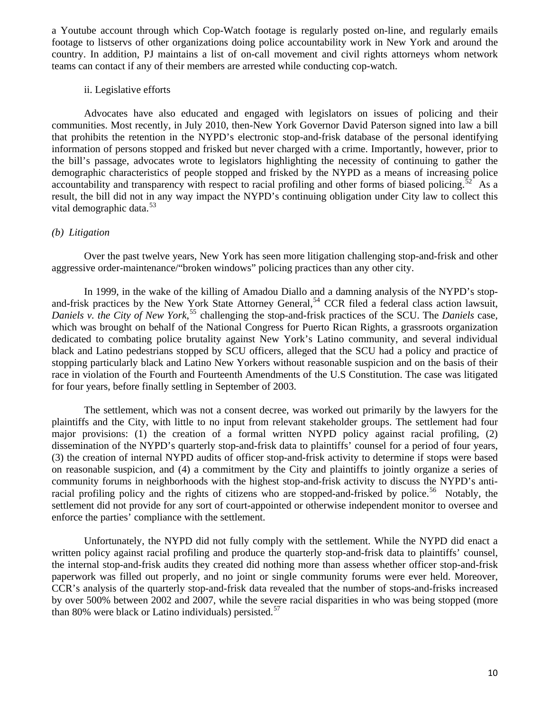a Youtube account through which Cop-Watch footage is regularly posted on-line, and regularly emails footage to listservs of other organizations doing police accountability work in New York and around the country. In addition, PJ maintains a list of on-call movement and civil rights attorneys whom network teams can contact if any of their members are arrested while conducting cop-watch.

### ii. Legislative efforts

Advocates have also educated and engaged with legislators on issues of policing and their communities. Most recently, in July 2010, then-New York Governor David Paterson signed into law a bill that prohibits the retention in the NYPD's electronic stop-and-frisk database of the personal identifying information of persons stopped and frisked but never charged with a crime. Importantly, however, prior to the bill's passage, advocates wrote to legislators highlighting the necessity of continuing to gather the demographic characteristics of people stopped and frisked by the NYPD as a means of increasing police accountability and transparency with respect to racial profiling and other forms of biased policing.<sup>52</sup> As a result, the bill did not in any way impact the NYPD's continuing obligation under City law to collect this vital demographic data.<sup>53</sup>

## *(b) Litigation*

Over the past twelve years, New York has seen more litigation challenging stop-and-frisk and other aggressive order-maintenance/"broken windows" policing practices than any other city.

In 1999, in the wake of the killing of Amadou Diallo and a damning analysis of the NYPD's stopand-frisk practices by the New York State Attorney General,<sup>54</sup> CCR filed a federal class action lawsuit, *Daniels v. the City of New York*, 55 challenging the stop-and-frisk practices of the SCU. The *Daniels* case, which was brought on behalf of the National Congress for Puerto Rican Rights, a grassroots organization dedicated to combating police brutality against New York's Latino community, and several individual black and Latino pedestrians stopped by SCU officers, alleged that the SCU had a policy and practice of stopping particularly black and Latino New Yorkers without reasonable suspicion and on the basis of their race in violation of the Fourth and Fourteenth Amendments of the U.S Constitution. The case was litigated for four years, before finally settling in September of 2003.

The settlement, which was not a consent decree, was worked out primarily by the lawyers for the plaintiffs and the City, with little to no input from relevant stakeholder groups. The settlement had four major provisions: (1) the creation of a formal written NYPD policy against racial profiling, (2) dissemination of the NYPD's quarterly stop-and-frisk data to plaintiffs' counsel for a period of four years, (3) the creation of internal NYPD audits of officer stop-and-frisk activity to determine if stops were based on reasonable suspicion, and (4) a commitment by the City and plaintiffs to jointly organize a series of community forums in neighborhoods with the highest stop-and-frisk activity to discuss the NYPD's antiracial profiling policy and the rights of citizens who are stopped-and-frisked by police.<sup>56</sup> Notably, the settlement did not provide for any sort of court-appointed or otherwise independent monitor to oversee and enforce the parties' compliance with the settlement.

Unfortunately, the NYPD did not fully comply with the settlement. While the NYPD did enact a written policy against racial profiling and produce the quarterly stop-and-frisk data to plaintiffs' counsel, the internal stop-and-frisk audits they created did nothing more than assess whether officer stop-and-frisk paperwork was filled out properly, and no joint or single community forums were ever held. Moreover, CCR's analysis of the quarterly stop-and-frisk data revealed that the number of stops-and-frisks increased by over 500% between 2002 and 2007, while the severe racial disparities in who was being stopped (more than 80% were black or Latino individuals) persisted.<sup>57</sup>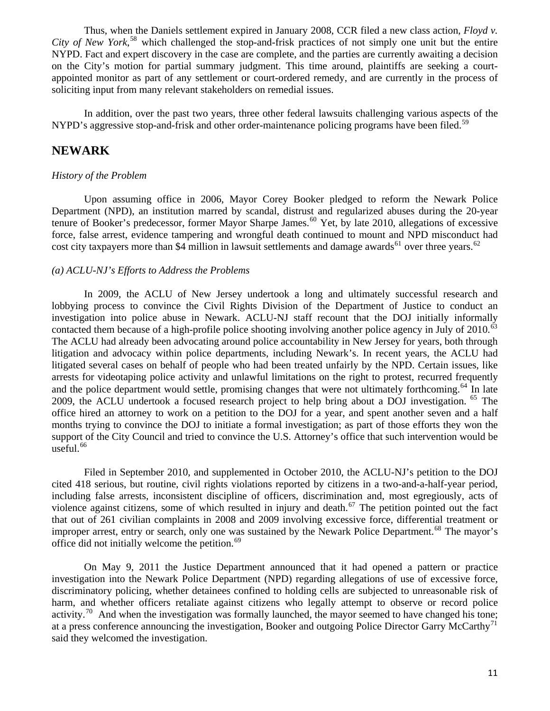Thus, when the Daniels settlement expired in January 2008, CCR filed a new class action, *Floyd v.*  City of New York,<sup>58</sup> which challenged the stop-and-frisk practices of not simply one unit but the entire NYPD. Fact and expert discovery in the case are complete, and the parties are currently awaiting a decision on the City's motion for partial summary judgment. This time around, plaintiffs are seeking a courtappointed monitor as part of any settlement or court-ordered remedy, and are currently in the process of soliciting input from many relevant stakeholders on remedial issues.

 In addition, over the past two years, three other federal lawsuits challenging various aspects of the NYPD's aggressive stop-and-frisk and other order-maintenance policing programs have been filed.<sup>59</sup>

## **NEWARK**

#### *History of the Problem*

Upon assuming office in 2006, Mayor Corey Booker pledged to reform the Newark Police Department (NPD), an institution marred by scandal, distrust and regularized abuses during the 20-year tenure of Booker's predecessor, former Mayor Sharpe James.<sup>60</sup> Yet, by late 2010, allegations of excessive force, false arrest, evidence tampering and wrongful death continued to mount and NPD misconduct had cost city taxpayers more than \$4 million in lawsuit settlements and damage awards<sup>61</sup> over three years.<sup>62</sup>

#### *(a) ACLU-NJ's Efforts to Address the Problems*

In 2009, the ACLU of New Jersey undertook a long and ultimately successful research and lobbying process to convince the Civil Rights Division of the Department of Justice to conduct an investigation into police abuse in Newark. ACLU-NJ staff recount that the DOJ initially informally contacted them because of a high-profile police shooting involving another police agency in July of 2010.<sup>63</sup> The ACLU had already been advocating around police accountability in New Jersey for years, both through litigation and advocacy within police departments, including Newark's. In recent years, the ACLU had litigated several cases on behalf of people who had been treated unfairly by the NPD. Certain issues, like arrests for videotaping police activity and unlawful limitations on the right to protest, recurred frequently and the police department would settle, promising changes that were not ultimately forthcoming.<sup>64</sup> In late 2009, the ACLU undertook a focused research project to help bring about a DOJ investigation. <sup>65</sup> The office hired an attorney to work on a petition to the DOJ for a year, and spent another seven and a half months trying to convince the DOJ to initiate a formal investigation; as part of those efforts they won the support of the City Council and tried to convince the U.S. Attorney's office that such intervention would be  $useful.<sup>66</sup>$ 

Filed in September 2010, and supplemented in October 2010, the ACLU-NJ's petition to the DOJ cited 418 serious, but routine, civil rights violations reported by citizens in a two-and-a-half-year period, including false arrests, inconsistent discipline of officers, discrimination and, most egregiously, acts of violence against citizens, some of which resulted in injury and death.<sup>67</sup> The petition pointed out the fact that out of 261 civilian complaints in 2008 and 2009 involving excessive force, differential treatment or improper arrest, entry or search, only one was sustained by the Newark Police Department.<sup>68</sup> The mayor's office did not initially welcome the petition.<sup>69</sup>

On May 9, 2011 the Justice Department announced that it had opened a pattern or practice investigation into the Newark Police Department (NPD) regarding allegations of use of excessive force, discriminatory policing, whether detainees confined to holding cells are subjected to unreasonable risk of harm, and whether officers retaliate against citizens who legally attempt to observe or record police activity.<sup>70</sup> And when the investigation was formally launched, the mayor seemed to have changed his tone; at a press conference announcing the investigation, Booker and outgoing Police Director Garry McCarthy<sup>71</sup> said they welcomed the investigation.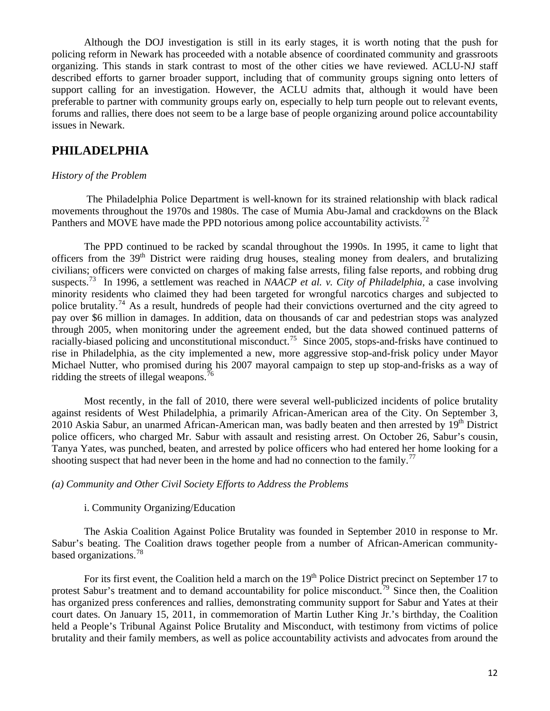Although the DOJ investigation is still in its early stages, it is worth noting that the push for policing reform in Newark has proceeded with a notable absence of coordinated community and grassroots organizing. This stands in stark contrast to most of the other cities we have reviewed. ACLU-NJ staff described efforts to garner broader support, including that of community groups signing onto letters of support calling for an investigation. However, the ACLU admits that, although it would have been preferable to partner with community groups early on, especially to help turn people out to relevant events, forums and rallies, there does not seem to be a large base of people organizing around police accountability issues in Newark.

## **PHILADELPHIA**

#### *History of the Problem*

 The Philadelphia Police Department is well-known for its strained relationship with black radical movements throughout the 1970s and 1980s. The case of Mumia Abu-Jamal and crackdowns on the Black Panthers and MOVE have made the PPD notorious among police accountability activists.<sup>72</sup>

The PPD continued to be racked by scandal throughout the 1990s. In 1995, it came to light that officers from the 39<sup>th</sup> District were raiding drug houses, stealing money from dealers, and brutalizing civilians; officers were convicted on charges of making false arrests, filing false reports, and robbing drug suspects.73 In 1996, a settlement was reached in *NAACP et al. v. City of Philadelphia*, a case involving minority residents who claimed they had been targeted for wrongful narcotics charges and subjected to police brutality.<sup>74</sup> As a result, hundreds of people had their convictions overturned and the city agreed to pay over \$6 million in damages. In addition, data on thousands of car and pedestrian stops was analyzed through 2005, when monitoring under the agreement ended, but the data showed continued patterns of racially-biased policing and unconstitutional misconduct.75 Since 2005, stops-and-frisks have continued to rise in Philadelphia, as the city implemented a new, more aggressive stop-and-frisk policy under Mayor Michael Nutter, who promised during his 2007 mayoral campaign to step up stop-and-frisks as a way of ridding the streets of illegal weapons.<sup>76</sup>

Most recently, in the fall of 2010, there were several well-publicized incidents of police brutality against residents of West Philadelphia, a primarily African-American area of the City. On September 3, 2010 Askia Sabur, an unarmed African-American man, was badly beaten and then arrested by 19<sup>th</sup> District police officers, who charged Mr. Sabur with assault and resisting arrest. On October 26, Sabur's cousin, Tanya Yates, was punched, beaten, and arrested by police officers who had entered her home looking for a shooting suspect that had never been in the home and had no connection to the family.<sup>77</sup>

#### *(a) Community and Other Civil Society Efforts to Address the Problems*

## i. Community Organizing/Education

The Askia Coalition Against Police Brutality was founded in September 2010 in response to Mr. Sabur's beating. The Coalition draws together people from a number of African-American communitybased organizations.<sup>78</sup>

For its first event, the Coalition held a march on the 19<sup>th</sup> Police District precinct on September 17 to protest Sabur's treatment and to demand accountability for police misconduct.<sup>79</sup> Since then, the Coalition has organized press conferences and rallies, demonstrating community support for Sabur and Yates at their court dates. On January 15, 2011, in commemoration of Martin Luther King Jr.'s birthday, the Coalition held a People's Tribunal Against Police Brutality and Misconduct, with testimony from victims of police brutality and their family members, as well as police accountability activists and advocates from around the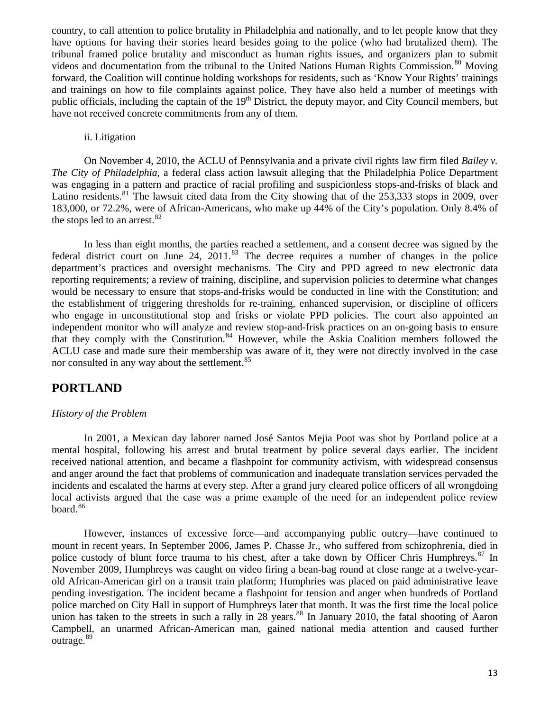country, to call attention to police brutality in Philadelphia and nationally, and to let people know that they have options for having their stories heard besides going to the police (who had brutalized them). The tribunal framed police brutality and misconduct as human rights issues, and organizers plan to submit videos and documentation from the tribunal to the United Nations Human Rights Commission.<sup>80</sup> Moving forward, the Coalition will continue holding workshops for residents, such as 'Know Your Rights' trainings and trainings on how to file complaints against police. They have also held a number of meetings with public officials, including the captain of the 19<sup>th</sup> District, the deputy mayor, and City Council members, but have not received concrete commitments from any of them.

#### ii. Litigation

On November 4, 2010, the ACLU of Pennsylvania and a private civil rights law firm filed *Bailey v. The City of Philadelphia*, a federal class action lawsuit alleging that the Philadelphia Police Department was engaging in a pattern and practice of racial profiling and suspicionless stops-and-frisks of black and Latino residents.<sup>81</sup> The lawsuit cited data from the City showing that of the 253,333 stops in 2009, over 183,000, or 72.2%, were of African-Americans, who make up 44% of the City's population. Only 8.4% of the stops led to an arrest. $82$ 

In less than eight months, the parties reached a settlement, and a consent decree was signed by the federal district court on June 24,  $2011$ .<sup>83</sup> The decree requires a number of changes in the police department's practices and oversight mechanisms. The City and PPD agreed to new electronic data reporting requirements; a review of training, discipline, and supervision policies to determine what changes would be necessary to ensure that stops-and-frisks would be conducted in line with the Constitution; and the establishment of triggering thresholds for re-training, enhanced supervision, or discipline of officers who engage in unconstitutional stop and frisks or violate PPD policies. The court also appointed an independent monitor who will analyze and review stop-and-frisk practices on an on-going basis to ensure that they comply with the Constitution.<sup>84</sup> However, while the Askia Coalition members followed the ACLU case and made sure their membership was aware of it, they were not directly involved in the case nor consulted in any way about the settlement.<sup>85</sup>

## **PORTLAND**

### *History of the Problem*

In 2001, a Mexican day laborer named José Santos Mejia Poot was shot by Portland police at a mental hospital, following his arrest and brutal treatment by police several days earlier. The incident received national attention, and became a flashpoint for community activism, with widespread consensus and anger around the fact that problems of communication and inadequate translation services pervaded the incidents and escalated the harms at every step. After a grand jury cleared police officers of all wrongdoing local activists argued that the case was a prime example of the need for an independent police review board.<sup>86</sup>

However, instances of excessive force—and accompanying public outcry—have continued to mount in recent years. In September 2006, James P. Chasse Jr., who suffered from schizophrenia, died in police custody of blunt force trauma to his chest, after a take down by Officer Chris Humphreys.<sup>87</sup> In November 2009, Humphreys was caught on video firing a bean-bag round at close range at a twelve-yearold African-American girl on a transit train platform; Humphries was placed on paid administrative leave pending investigation. The incident became a flashpoint for tension and anger when hundreds of Portland police marched on City Hall in support of Humphreys later that month. It was the first time the local police union has taken to the streets in such a rally in 28 years.<sup>88</sup> In January 2010, the fatal shooting of Aaron Campbell, an unarmed African-American man, gained national media attention and caused further outrage.<sup>89</sup>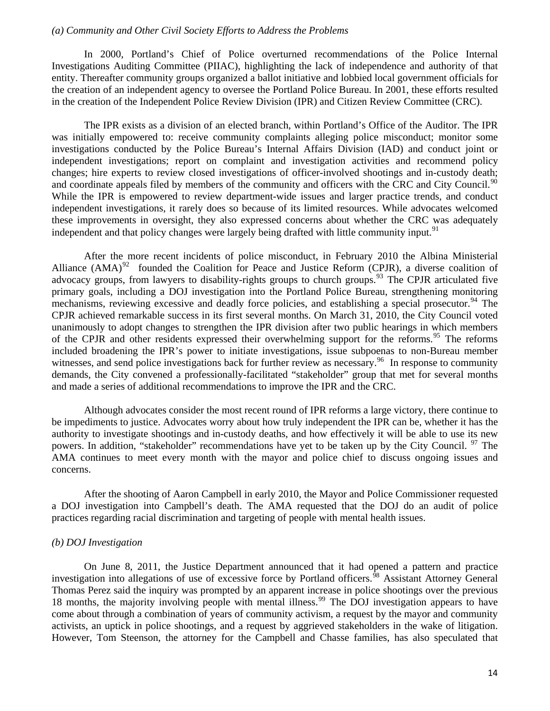#### *(a) Community and Other Civil Society Efforts to Address the Problems*

In 2000, Portland's Chief of Police overturned recommendations of the Police Internal Investigations Auditing Committee (PIIAC), highlighting the lack of independence and authority of that entity. Thereafter community groups organized a ballot initiative and lobbied local government officials for the creation of an independent agency to oversee the Portland Police Bureau. In 2001, these efforts resulted in the creation of the Independent Police Review Division (IPR) and Citizen Review Committee (CRC).

The IPR exists as a division of an elected branch, within Portland's Office of the Auditor. The IPR was initially empowered to: receive community complaints alleging police misconduct; monitor some investigations conducted by the Police Bureau's Internal Affairs Division (IAD) and conduct joint or independent investigations; report on complaint and investigation activities and recommend policy changes; hire experts to review closed investigations of officer-involved shootings and in-custody death; and coordinate appeals filed by members of the community and officers with the CRC and City Council.<sup>90</sup> While the IPR is empowered to review department-wide issues and larger practice trends, and conduct independent investigations, it rarely does so because of its limited resources. While advocates welcomed these improvements in oversight, they also expressed concerns about whether the CRC was adequately independent and that policy changes were largely being drafted with little community input.  $91$ 

After the more recent incidents of police misconduct, in February 2010 the Albina Ministerial Alliance  $(AMA)^{92}$  founded the Coalition for Peace and Justice Reform (CPJR), a diverse coalition of advocacy groups, from lawyers to disability-rights groups to church groups.<sup>93</sup> The CPJR articulated five primary goals, including a DOJ investigation into the Portland Police Bureau, strengthening monitoring mechanisms, reviewing excessive and deadly force policies, and establishing a special prosecutor.<sup>94</sup> The CPJR achieved remarkable success in its first several months. On March 31, 2010, the City Council voted unanimously to adopt changes to strengthen the IPR division after two public hearings in which members of the CPJR and other residents expressed their overwhelming support for the reforms.<sup>95</sup> The reforms included broadening the IPR's power to initiate investigations, issue subpoenas to non-Bureau member witnesses, and send police investigations back for further review as necessary.<sup>96</sup> In response to community demands, the City convened a professionally-facilitated "stakeholder" group that met for several months and made a series of additional recommendations to improve the IPR and the CRC.

Although advocates consider the most recent round of IPR reforms a large victory, there continue to be impediments to justice. Advocates worry about how truly independent the IPR can be, whether it has the authority to investigate shootings and in-custody deaths, and how effectively it will be able to use its new powers. In addition, "stakeholder" recommendations have yet to be taken up by the City Council. <sup>97</sup> The AMA continues to meet every month with the mayor and police chief to discuss ongoing issues and concerns.

After the shooting of Aaron Campbell in early 2010, the Mayor and Police Commissioner requested a DOJ investigation into Campbell's death. The AMA requested that the DOJ do an audit of police practices regarding racial discrimination and targeting of people with mental health issues.

#### *(b) DOJ Investigation*

On June 8, 2011, the Justice Department announced that it had opened a pattern and practice investigation into allegations of use of excessive force by Portland officers.<sup>98</sup> Assistant Attorney General Thomas Perez said the inquiry was prompted by an apparent increase in police shootings over the previous 18 months, the majority involving people with mental illness.<sup>99</sup> The DOJ investigation appears to have come about through a combination of years of community activism, a request by the mayor and community activists, an uptick in police shootings, and a request by aggrieved stakeholders in the wake of litigation. However, Tom Steenson, the attorney for the Campbell and Chasse families, has also speculated that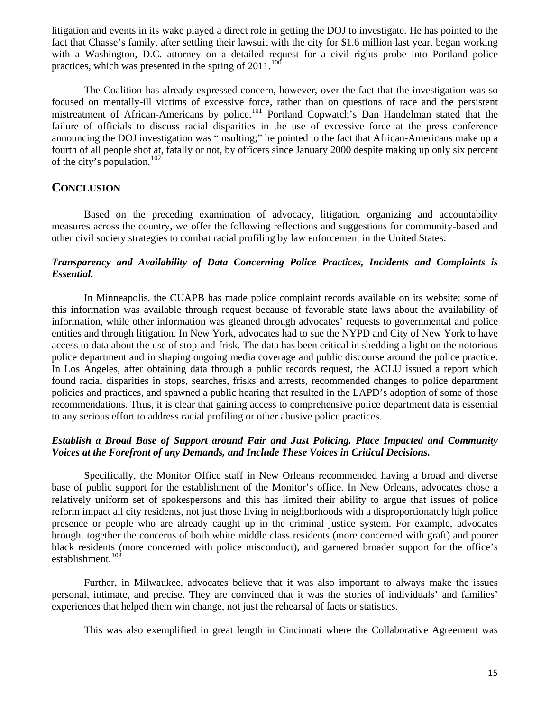litigation and events in its wake played a direct role in getting the DOJ to investigate. He has pointed to the fact that Chasse's family, after settling their lawsuit with the city for \$1.6 million last year, began working with a Washington, D.C. attorney on a detailed request for a civil rights probe into Portland police practices, which was presented in the spring of  $2011$ .<sup>100</sup>

The Coalition has already expressed concern, however, over the fact that the investigation was so focused on mentally-ill victims of excessive force, rather than on questions of race and the persistent mistreatment of African-Americans by police.<sup>101</sup> Portland Copwatch's Dan Handelman stated that the failure of officials to discuss racial disparities in the use of excessive force at the press conference announcing the DOJ investigation was "insulting;" he pointed to the fact that African-Americans make up a fourth of all people shot at, fatally or not, by officers since January 2000 despite making up only six percent of the city's population.<sup>102</sup>

## **CONCLUSION**

Based on the preceding examination of advocacy, litigation, organizing and accountability measures across the country, we offer the following reflections and suggestions for community-based and other civil society strategies to combat racial profiling by law enforcement in the United States:

## *Transparency and Availability of Data Concerning Police Practices, Incidents and Complaints is Essential.*

In Minneapolis, the CUAPB has made police complaint records available on its website; some of this information was available through request because of favorable state laws about the availability of information, while other information was gleaned through advocates' requests to governmental and police entities and through litigation. In New York, advocates had to sue the NYPD and City of New York to have access to data about the use of stop-and-frisk. The data has been critical in shedding a light on the notorious police department and in shaping ongoing media coverage and public discourse around the police practice. In Los Angeles, after obtaining data through a public records request, the ACLU issued a report which found racial disparities in stops, searches, frisks and arrests, recommended changes to police department policies and practices, and spawned a public hearing that resulted in the LAPD's adoption of some of those recommendations. Thus, it is clear that gaining access to comprehensive police department data is essential to any serious effort to address racial profiling or other abusive police practices.

## *Establish a Broad Base of Support around Fair and Just Policing. Place Impacted and Community Voices at the Forefront of any Demands, and Include These Voices in Critical Decisions.*

Specifically, the Monitor Office staff in New Orleans recommended having a broad and diverse base of public support for the establishment of the Monitor's office. In New Orleans, advocates chose a relatively uniform set of spokespersons and this has limited their ability to argue that issues of police reform impact all city residents, not just those living in neighborhoods with a disproportionately high police presence or people who are already caught up in the criminal justice system. For example, advocates brought together the concerns of both white middle class residents (more concerned with graft) and poorer black residents (more concerned with police misconduct), and garnered broader support for the office's establishment.<sup>103</sup>

Further, in Milwaukee, advocates believe that it was also important to always make the issues personal, intimate, and precise. They are convinced that it was the stories of individuals' and families' experiences that helped them win change, not just the rehearsal of facts or statistics.

This was also exemplified in great length in Cincinnati where the Collaborative Agreement was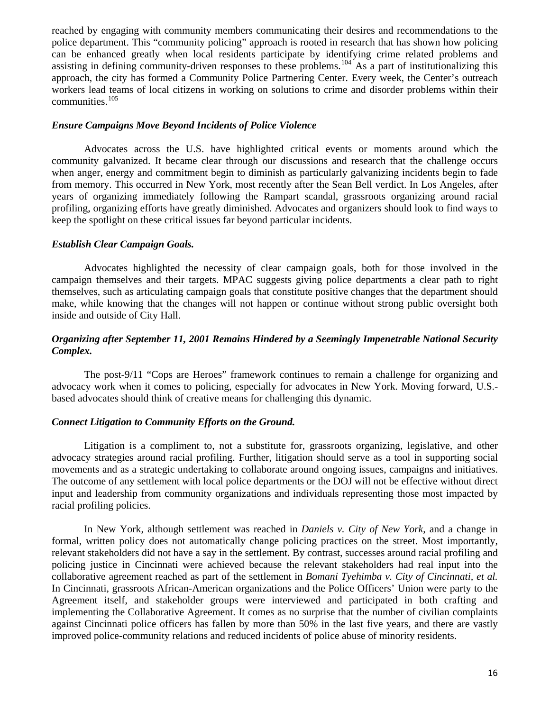reached by engaging with community members communicating their desires and recommendations to the police department. This "community policing" approach is rooted in research that has shown how policing can be enhanced greatly when local residents participate by identifying crime related problems and assisting in defining community-driven responses to these problems.<sup>104</sup> As a part of institutionalizing this approach, the city has formed a Community Police Partnering Center. Every week, the Center's outreach workers lead teams of local citizens in working on solutions to crime and disorder problems within their communities. $105$ 

#### *Ensure Campaigns Move Beyond Incidents of Police Violence*

Advocates across the U.S. have highlighted critical events or moments around which the community galvanized. It became clear through our discussions and research that the challenge occurs when anger, energy and commitment begin to diminish as particularly galvanizing incidents begin to fade from memory. This occurred in New York, most recently after the Sean Bell verdict. In Los Angeles, after years of organizing immediately following the Rampart scandal, grassroots organizing around racial profiling, organizing efforts have greatly diminished. Advocates and organizers should look to find ways to keep the spotlight on these critical issues far beyond particular incidents.

### *Establish Clear Campaign Goals.*

Advocates highlighted the necessity of clear campaign goals, both for those involved in the campaign themselves and their targets. MPAC suggests giving police departments a clear path to right themselves, such as articulating campaign goals that constitute positive changes that the department should make, while knowing that the changes will not happen or continue without strong public oversight both inside and outside of City Hall.

## *Organizing after September 11, 2001 Remains Hindered by a Seemingly Impenetrable National Security Complex.*

The post-9/11 "Cops are Heroes" framework continues to remain a challenge for organizing and advocacy work when it comes to policing, especially for advocates in New York. Moving forward, U.S. based advocates should think of creative means for challenging this dynamic.

### *Connect Litigation to Community Efforts on the Ground.*

Litigation is a compliment to, not a substitute for, grassroots organizing, legislative, and other advocacy strategies around racial profiling. Further, litigation should serve as a tool in supporting social movements and as a strategic undertaking to collaborate around ongoing issues, campaigns and initiatives. The outcome of any settlement with local police departments or the DOJ will not be effective without direct input and leadership from community organizations and individuals representing those most impacted by racial profiling policies.

In New York, although settlement was reached in *Daniels v. City of New York*, and a change in formal, written policy does not automatically change policing practices on the street. Most importantly, relevant stakeholders did not have a say in the settlement. By contrast, successes around racial profiling and policing justice in Cincinnati were achieved because the relevant stakeholders had real input into the collaborative agreement reached as part of the settlement in *Bomani Tyehimba v. City of Cincinnati, et al.* In Cincinnati, grassroots African-American organizations and the Police Officers' Union were party to the Agreement itself, and stakeholder groups were interviewed and participated in both crafting and implementing the Collaborative Agreement. It comes as no surprise that the number of civilian complaints against Cincinnati police officers has fallen by more than 50% in the last five years, and there are vastly improved police-community relations and reduced incidents of police abuse of minority residents.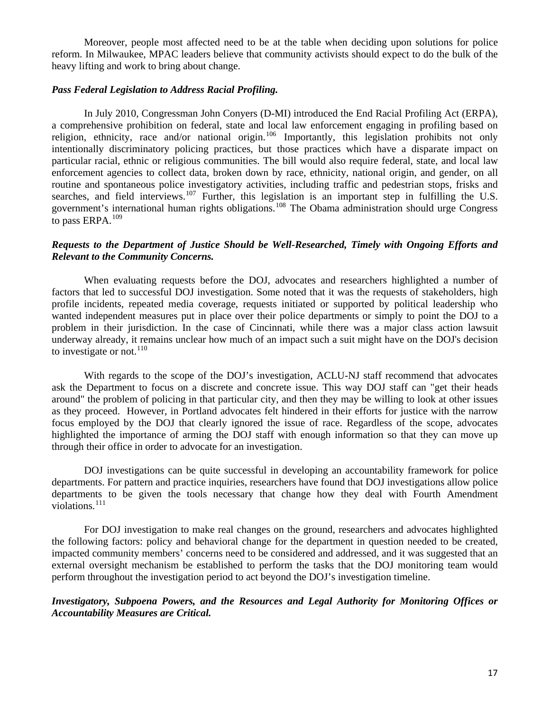Moreover, people most affected need to be at the table when deciding upon solutions for police reform. In Milwaukee, MPAC leaders believe that community activists should expect to do the bulk of the heavy lifting and work to bring about change.

#### *Pass Federal Legislation to Address Racial Profiling.*

In July 2010, Congressman John Conyers (D-MI) introduced the End Racial Profiling Act (ERPA), a comprehensive prohibition on federal, state and local law enforcement engaging in profiling based on religion, ethnicity, race and/or national origin.<sup>106</sup> Importantly, this legislation prohibits not only intentionally discriminatory policing practices, but those practices which have a disparate impact on particular racial, ethnic or religious communities. The bill would also require federal, state, and local law enforcement agencies to collect data, broken down by race, ethnicity, national origin, and gender, on all routine and spontaneous police investigatory activities, including traffic and pedestrian stops, frisks and searches, and field interviews.<sup>107</sup> Further, this legislation is an important step in fulfilling the U.S. government's international human rights obligations.<sup>108</sup> The Obama administration should urge Congress to pass ERPA.<sup>109</sup>

## *Requests to the Department of Justice Should be Well-Researched, Timely with Ongoing Efforts and Relevant to the Community Concerns.*

When evaluating requests before the DOJ, advocates and researchers highlighted a number of factors that led to successful DOJ investigation. Some noted that it was the requests of stakeholders, high profile incidents, repeated media coverage, requests initiated or supported by political leadership who wanted independent measures put in place over their police departments or simply to point the DOJ to a problem in their jurisdiction. In the case of Cincinnati, while there was a major class action lawsuit underway already, it remains unclear how much of an impact such a suit might have on the DOJ's decision to investigate or not. $110$ 

With regards to the scope of the DOJ's investigation, ACLU-NJ staff recommend that advocates ask the Department to focus on a discrete and concrete issue. This way DOJ staff can "get their heads around" the problem of policing in that particular city, and then they may be willing to look at other issues as they proceed. However, in Portland advocates felt hindered in their efforts for justice with the narrow focus employed by the DOJ that clearly ignored the issue of race. Regardless of the scope, advocates highlighted the importance of arming the DOJ staff with enough information so that they can move up through their office in order to advocate for an investigation.

DOJ investigations can be quite successful in developing an accountability framework for police departments. For pattern and practice inquiries, researchers have found that DOJ investigations allow police departments to be given the tools necessary that change how they deal with Fourth Amendment violations.<sup>111</sup>

For DOJ investigation to make real changes on the ground, researchers and advocates highlighted the following factors: policy and behavioral change for the department in question needed to be created, impacted community members' concerns need to be considered and addressed, and it was suggested that an external oversight mechanism be established to perform the tasks that the DOJ monitoring team would perform throughout the investigation period to act beyond the DOJ's investigation timeline.

*Investigatory, Subpoena Powers, and the Resources and Legal Authority for Monitoring Offices or Accountability Measures are Critical.*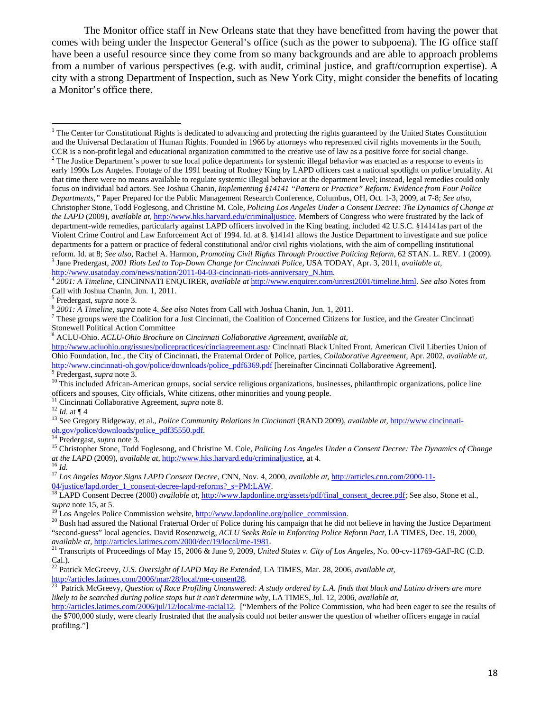The Monitor office staff in New Orleans state that they have benefitted from having the power that comes with being under the Inspector General's office (such as the power to subpoena). The IG office staff have been a useful resource since they come from so many backgrounds and are able to approach problems from a number of various perspectives (e.g. with audit, criminal justice, and graft/corruption expertise). A city with a strong Department of Inspection, such as New York City, might consider the benefits of locating a Monitor's office there.

<sup>1</sup> The Center for Constitutional Rights is dedicated to advancing and protecting the rights guaranteed by the United States Constitution and the Universal Declaration of Human Rights. Founded in 1966 by attorneys who represented civil rights movements in the South, CCR is a non-profit legal and educational organization committed to the creative use of law as a positive force for social change. 2 <sup>2</sup> The Justice Department's power to sue local police departments for systemic illegal behavior was enacted as a response to events in early 1990s Los Angeles. Footage of the 1991 beating of Rodney King by LAPD officers cast a national spotlight on police brutality. At that time there were no means available to regulate systemic illegal behavior at the department level; instead, legal remedies could only focus on individual bad actors. See Joshua Chanin, *Implementing §14141 "Pattern or Practice" Reform: Evidence from Four Police Departments,"* Paper Prepared for the Public Management Research Conference, Columbus, OH, Oct. 1-3, 2009, at 7-8; *See also,*  Christopher Stone, Todd Foglesong, and Christine M. Cole, *Policing Los Angeles Under a Consent Decree: The Dynamics of Change at the LAPD* (2009), *available at,* http://www.hks.harvard.edu/criminaljustice. Members of Congress who were frustrated by the lack of department-wide remedies, particularly against LAPD officers involved in the King beating, included 42 U.S.C. §14141as part of the Violent Crime Control and Law Enforcement Act of 1994. Id. at 8. §14141 allows the Justice Department to investigate and sue police departments for a pattern or practice of federal constitutional and/or civil rights violations, with the aim of compelling institutional reform. Id. at 8; See also, Rachel A. Harmon, *Promoting Civil Rights Through Proactive Policing Reform*, 62 STAN. L. REV. 1 (2009).

<sup>3</sup> Jane Predergast, *2001 Riots Led to Top-Down Change for Cincinnati Police*, USA TODAY, Apr. 3, 2011, *available at*, <br>http://www.usatoday.com/news/nation/2011-04-03-cincinnati-riots-anniversary N.htm.

<sup>15</sup> Christopher Stone, Todd Foglesong, and Christine M. Cole, *Policing Los Angeles Under a Consent Decree: The Dynamics of Change* at the LAPD (2009), available at, *http://www.hks.harvard.edu/criminaljustice*, at 4.

<sup>16</sup> Id.<br><sup>17</sup> Los Angeles Mayor Signs LAPD Consent Decree, CNN, Nov. 4, 2000, available at, http://articles.cnn.com/2000-11-

04/justice/lapd.order\_1\_consent-decree-lapd-reforms?\_s=PM:LAW.<br><sup>18</sup> LAPD Consent Decree (2000) *available at*, http://www.lapdonline.org/assets/pdf/final\_consent\_decree.pdf; See also, Stone et al., *supra* note 15, at 5.

<sup>2001:</sup> A Timeline, CINCINNATI ENQUIRER, available at http://www.enquirer.com/unrest2001/timeline.html. See also Notes from Call with Joshua Chanin, Jun. 1, 2011.<br> $5$  Predergast, *supra* note 3.

<sup>&</sup>lt;sup>6</sup> 2001: A Timeline, supra note 4. See also Notes from Call with Joshua Chanin, Jun. 1, 2011.

 $^7$  These groups were the Coalition for a Just Cincinnati, the Coalition of Concerned Citizens for Justice, and the Greater Cincinnati Stonewell Political Action Committee

<sup>8</sup> ACLU-Ohio. *ACLU-Ohio Brochure on Cincinnati Collaborative Agreement, available at,* 

http://www.acluohio.org/issues/policepractices/cinciagreement.asp*;* Cincinnati Black United Front, American Civil Liberties Union of Ohio Foundation, Inc., the City of Cincinnati, the Fraternal Order of Police, parties, *Collaborative Agreement,* Apr. 2002, *available at,*  http://www.cincinnati-oh.gov/police/downloads/police\_pdf6369.pdf [hereinafter Cincinnati Collaborative Agreement].<br><sup>9</sup> Predergast, *supra* note 3.

<sup>&</sup>lt;sup>10</sup> This included African-American groups, social service religious organizations, businesses, philanthropic organizations, police line

officers and spouses, City officials, White citizens, other minorities and young people.<br><sup>11</sup> Cincinnati Collaborative Agreement, *supra* note 8.<br><sup>12</sup> *Id.* at  $\P$  4<br><sup>13</sup> See Gregory Ridgeway, et al., *Police Community Re* 

<sup>&</sup>lt;sup>19</sup> Los Angeles Police Commission website, *http://www.lapdonline.org/police commission*.<br><sup>20</sup> Bush had assured the National Fraternal Order of Police during his campaign that he did not believe in having the Justice Dep "second-guess" local agencies. David Rosenzweig, *ACLU Seeks Role in Enforcing Police Reform Pact*, LA TIMES, Dec. 19, 2000, *available at*, *http://articles.latimes.com/2000/dec/19/local/me-1981*.

<sup>&</sup>lt;sup>21</sup> Transcripts of Proceedings of May 15, 2006 & June 9, 2009, *United States v. City of Los Angeles*, No. 00-cv-11769-GAF-RC (C.D. Cal.).

<sup>&</sup>lt;sup>22</sup> Patrick McGreevy, *U.S. Oversight of LAPD May Be Extended*, LA TIMES, Mar. 28, 2006, *available at*, <br>http://articles.latimes.com/2006/mar/28/local/me-consent28.

Patrick McGreevy, *Question of Race Profiling Unanswered: A study ordered by L.A. finds that black and Latino drivers are more likely to be searched during police stops but it can't determine why*, LA TIMES, Jul. 12, 2006, *available at,* 

http://articles.latimes.com/2006/jul/12/local/me-racial12. ["Members of the Police Commission, who had been eager to see the results of the \$700,000 study, were clearly frustrated that the analysis could not better answer the question of whether officers engage in racial profiling."]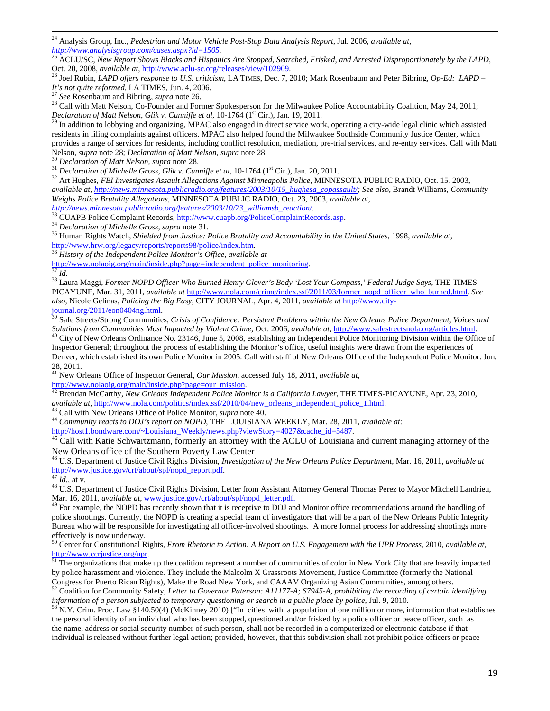<sup>28</sup> Call with Matt Nelson, Co-Founder and Former Spokesperson for the Milwaukee Police Accountability Coalition, May 24, 2011;<br>*Declaration of Matt Nelson, Glik v. Cunniffe et al*, 10-1764 (1<sup>st</sup> Cir.), Jan. 19, 2011.

 $^{29}$  In addition to lobbying and organizing, MPAC also engaged in direct service work, operating a city-wide legal clinic which assisted residents in filing complaints against officers. MPAC also helped found the Milwaukee Southside Community Justice Center, which provides a range of services for residents, including conflict resolution, mediation, pre-trial services, and re-entry services. Call with Matt Nelson, *supra* note 28; *Declaration of Matt Nelson, supra* note 28.<br><sup>30</sup> Declaration of Matt Nelson, supra note 28.<br><sup>31</sup> Declaration of Michelle Gross, Glik v. Cunniffe et al, 10-1764 (1<sup>st</sup> Cir.), Jan. 20, 2011.<br><sup>32</sup> Ar

*available at, http://news.minnesota.publicradio.org/features/2003/10/15\_hughesa\_copassault/; See also,* Brandt Williams, *Community* 

*Weighs Police Brutality Allegations,* MINNESOTA PUBLIC RADIO, Oct. 23, 2003, *available at,*

 $^{33}$  CUAPB Police Complaint Records,  $\frac{http://www.cuapb.org/PolicyComplaint Records asp.}{\text{34}$ <br>  $^{34}$  Declaration of Michelle Gross, supra note 31.<br>  $^{35}$  Human Rights Watch, Shielded from Justice: Police Brutality and Accountability in the Unit http://www.hrw.org/legacy/reports/reports98/police/index.htm.<br><sup>36</sup> *History of the Independent Police Monitor's Office, available at* <br>
<u>http://www.nolaoig.org/main/inside.php?page=independent police monitoring</u>.<br> *Id.* 

<sup>38</sup> Laura Maggi, *Former NOPD Officer Who Burned Henry Glover's Body 'Lost Your Compass,' Federal Judge Says, THE TIMES-*PICAYUNE, Mar. 31, 2011, *available at* http://www.nola.com/crime/index.ssf/2011/03/former\_nopd\_officer\_who\_burned.html. *See also, Nicole Gelinas, Policing the Big Easy, CITY JOURNAL, Apr. 4, 2011, <i>available at http://www.city-*<br>
<u>journal.org/2011/eon0404ng.html</u><br>
<sup>39</sup> Sefa Straste (Straster)

Safe Streets/Strong Communities, *Crisis of Confidence: Persistent Problems within the New Orleans Police Department, Voices and* Solutions from Communities Most Impacted by Violent Crime, Oct. 2006, available at, http://www.safestreetsnola.org/articles.html.<br><sup>40</sup> City of New Orleans Ordinance No. 23146, June 5, 2008, establishing an Independent Poli

Inspector General; throughout the process of establishing the Monitor's office, useful insights were drawn from the experiences of Denver, which established its own Police Monitor in 2005. Call with staff of New Orleans Office of the Independent Police Monitor. Jun. 28, 2011.

41 New Orleans Office of Inspector General, *Our Mission*, accessed July 18, 2011, *available at,*

http://www.nolaoig.org/main/inside.php?page=our\_mission.<br><sup>42</sup> Brendan McCarthy, *New Orleans Independent Police Monitor is a California Lawyer*, THE TIMES-PICAYUNE, Apr. 23, 2010,

available at, http://www.nola.com/politics/index.ssf/2010/04/new orleans independent police 1.html.<br><sup>43</sup> Call with New Orleans Office of Police Monitor, *supra* note 40.<br><sup>44</sup> Community reacts to DOJ's report on NOPD, THE L

<sup>45</sup> Call with Katie Schwartzmann, formerly an attorney with the ACLU of Louisiana and current managing attorney of the New Orleans office of the Southern Poverty Law Center

<sup>46</sup> U.S. Department of Justice Civil Rights Division, *Investigation of the New Orleans Police Department*, Mar. 16, 2011, *available at*  $\frac{http://www.justice.gov/ctrl'about/spl/nopd report.pdf}{tdl, at v}$ .

<sup>48</sup> U.S. Department of Justice Civil Rights Division, Letter from Assistant Attorney General Thomas Perez to Mayor Mitchell Landrieu, Mar. 16, 2011, *available at*, www.justice.gov/crt/about/spl/nopd\_letter.pdf. <sup>49</sup> For example, the NOPD has recently shown that it is receptive to DOJ and Monitor office recommendations around the handling of

police shootings. Currently, the NOPD is creating a special team of investigators that will be a part of the New Orleans Public Integrity Bureau who will be responsible for investigating all officer-involved shootings. A more formal process for addressing shootings more effectively is now underway.

50 Center for Constitutional Rights, *From Rhetoric to Action: A Report on U.S. Engagement with the UPR Process*, 2010, *available at,*  http://www.ccrjustice.org/upr.<br><sup>51</sup> The organizations that make up the coalition represent a number of communities of color in New York City that are heavily impacted

by police harassment and violence. They include the Malcolm X Grassroots Movement, Justice Committee (formerly the National

Congress for Puerto Rican Rights), Make the Road New York, and CAAAV Organizing Asian Communities, among others.<br><sup>52</sup> Coalition for Community Safety, Letter to Governor Paterson: A11177-A; S7945-A, prohibiting the recordin information of a person subjected to temporary questioning or search in a public place by police, Jul. 9, 2010.<br><sup>53</sup> N.Y. Crim. Proc. Law §140.50(4) (McKinney 2010) ["In cities with a population of one million or more, in

the personal identity of an individual who has been stopped, questioned and/or frisked by a police officer or peace officer, such as the name, address or social security number of such person, shall not be recorded in a computerized or electronic database if that individual is released without further legal action; provided, however, that this subdivision shall not prohibit police officers or peace

 24 Analysis Group, Inc., *Pedestrian and Motor Vehicle Post-Stop Data Analysis Report,* Jul. 2006, *available at,* 

*http://www.analysisgroup.com/cases.aspx?id=1505.*<br><sup>25</sup> ACLU/SC, *New Report Shows Blacks and Hispanics Are Stopped, Searched, Frisked, and Arrested Disproportionately by the LAPD,*<br>Oct. 20, 2008, *available at, http://www* 

<sup>&</sup>lt;sup>26</sup> Joel Rubin, *LAPD offers response to U.S. criticism*, LA TIMES, Dec. 7, 2010; Mark Rosenbaum and Peter Bibring, *Op-Ed: LAPD – It's not quite reformed*, LA TIMES, Jun. 4, 2006.<br><sup>27</sup> See Rosenbaum and Bibring, *supra*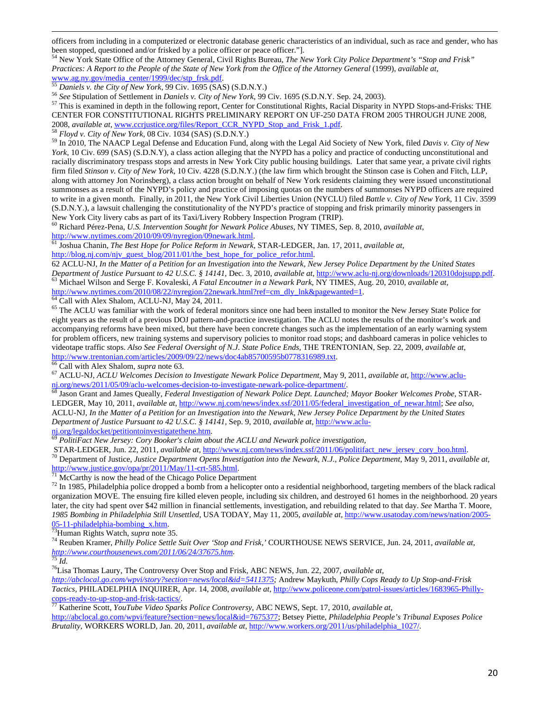officers from including in a computerized or electronic database generic characteristics of an individual, such as race and gender, who has been stopped, questioned and/or frisked by a police officer or peace officer."].<br><sup>54</sup> New York State Office of the Attorney General, Civil Rights Bureau, *The New York City Police Department's "Stop and Frisk"* 

*Practices: A Report to the People of the State of New York from the Office of the Attorney General* (1999), *available at,*<br>www.ag.ny.gov/media\_center/1999/dec/stp\_frsk.pdf.<br> $\frac{55}{25}$  Devictive dec/Give CNL X, J, OGC: 4

<sup>55</sup> Daniels v. the City of New York, 99 Civ. 1695 (SAS) (S.D.N.Y.)<br><sup>56</sup> See Stipulation of Settlement in *Daniels v. City of New York*, 99 Civ. 1695 (S.D.N.Y. Sep. 24, 2003).<br><sup>57</sup> This is examined in depth in the followi CENTER FOR CONSTITUTIONAL RIGHTS PRELIMINARY REPORT ON UF-250 DATA FROM 2005 THROUGH JUNE 2008, 2008, available at, <u>www.ccrjustice.org/files/Report\_CCR\_NYPD\_Stop\_and\_Frisk\_1.pdf</u>.<br><sup>58</sup> Floyd v. City of New York, 08 Civ. 1034 (SAS) (S.D.N.Y.)<br><sup>59</sup> In 2010, The NAACP Legal Defense and Education Fund, along with the Le

*York*, 10 Civ. 699 (SAS) (S.D.N.Y), a class action alleging that the NYPD has a policy and practice of conducting unconstitutional and racially discriminatory trespass stops and arrests in New York City public housing buildings. Later that same year, a private civil rights firm filed *Stinson v. City of New York*, 10 Civ. 4228 (S.D.N.Y.) (the law firm which brought the Stinson case is Cohen and Fitch, LLP, along with attorney Jon Norinsberg), a class action brought on behalf of New York residents claiming they were issued unconstitutional summonses as a result of the NYPD's policy and practice of imposing quotas on the numbers of summonses NYPD officers are required to write in a given month. Finally, in 2011, the New York Civil Liberties Union (NYCLU) filed *Battle v. City of New York*, 11 Civ. 3599 (S.D.N.Y.), a lawsuit challenging the constitutionality of the NYPD's practice of stopping and frisk primarily minority passengers in

New York City livery cabs as part of its Taxi/Livery Robbery Inspection Program (TRIP). 60 Richard Pérez-Pena, *U.S. Intervention Sought for Newark Police Abuses,* NY TIMES, Sep. 8, 2010, *available at,*  http://www.nytimes.com/2010/09/09/nyregion/09newark.html. 61 Joshua Chanin, *The Best Hope for Police Reform in Newark,* STAR-LEDGER, Jan. 17, 2011, *available at,* 

http://blog.nj.com/njv\_guest\_blog/2011/01/the\_best\_hope\_for\_police\_refor.html.

62 ACLU-NJ, *In the Matter of a Petition for an Investigation into the Newark, New Jersey Police Department by the United States*  Department of Justice Pursuant to 42 U.S.C. § 14141, Dec. 3, 2010, available at, http://www.aclu-nj.org/downloads/120310dojsupp.pdf. 63 Michael Wilson and Serge F. Kovaleski, A Fatal Encoutner in a Newark Park, NY TIMES, A

http://www.nytimes.com/2010/08/22/nyregion/22newark.html?ref=cm\_dly\_lnk&pagewanted=1.<br><sup>64</sup> Call with Alex Shalom, ACLU-NJ, May 24, 2011.<br><sup>65</sup> The ACLU was familiar with the work of federal monitors since one had been insta eight years as the result of a previous DOJ pattern-and-practice investigation. The ACLU notes the results of the monitor's work and accompanying reforms have been mixed, but there have been concrete changes such as the implementation of an early warning system for problem officers, new training systems and supervisory policies to monitor road stops; and dashboard cameras in police vehicles to videotape traffic stops. *Also See Federal Oversight of N.J. State Police Ends*, THE TRENTONIAN, Sep. 22, 2009, *available at*, <br>http://www.trentonian.com/articles/2009/09/22/news/doc4ab85700595b0778316989.txt.

<sup>66</sup> Call with Alex Shalom, *supra* note 63.<br><sup>67</sup> ACLU-NJ, A*CLU Welcomes Decision to Investigate Newark Police Department*, May 9, 2011, *available at*, *http://www.aclu*nj.org/news/2011/05/09/aclu-welcomes-decision-to-investigate-newark-police-department/. 68 Jason Grant and James Queally, *Federal Investigation of Newark Police Dept. Launched; Mayor Booker Welcomes Probe,* STAR-

LEDGER, May 10, 2011, *available at,* http://www.nj.com/news/index.ssf/2011/05/federal\_investigation\_of\_newar.html; *See also,*  ACLU-NJ, *In the Matter of a Petition for an Investigation into the Newark, New Jersey Police Department by the United States Department of Justice Pursuant to 42 U.S.C. § 14141,* Sep. 9, 2010, *available at,* http://www.aclu-

nj.org/legaldocket/petitiontoinvestigatethene.htm. 69 *PolitiFact New Jersey: Cory Booker's claim about the ACLU and Newark police investigation,*

STAR-LEDGER, Jun. 22, 2011, available at, http://www.nj.com/news/index.ssf/2011/06/politifact\_new\_jersey\_cory\_boo.html.<br><sup>70</sup> Department of Justice, Justice Department Opens Investigation into the Newark, N.J., Police Depar http://www.justice.gov/opa/pr/2011/May/11-crt-585.html.<br><sup>71</sup> McCarthy is now the head of the Chicago Police Department

 $72$  In 1985, Philadelphia police dropped a bomb from a helicopter onto a residential neighborhood, targeting members of the black radical organization MOVE. The ensuing fire killed eleven people, including six children, and destroyed 61 homes in the neighborhood. 20 years later, the city had spent over \$42 million in financial settlements, investigation, and rebuilding related to that day. *See* Martha T. Moore, *1985 Bombing in Philadelphia Still Unsettled,* USA TODAY, May 11, 2005, *available at,* http://www.usatoday.com/news/nation/2005-

05-11-philadelphia-bombing\_x.htm.<br><sup>73</sup>Human Rights Watch, *supra* note 35.<br><sup>74</sup> Reuben Kramer, *Philly Police Settle Suit Over 'Stop and Frisk*,' COURTHOUSE NEWS SERVICE, Jun. 24, 2011, *available at*,<br>*http://www.courthou* 

*http://www.courthousenews.com/2011/06/24/37675.htm.* <sup>75</sup> *Id.* 76Lisa Thomas Laury, The Controversy Over Stop and Frisk, ABC NEWS, Jun. 22, 2007, *available at,* 

*http://abclocal.go.com/wpvi/story?section=news/local&id=5411375;* Andrew Maykuth, *Philly Cops Ready to Up Stop-and-Frisk Tactics,* PHILADELPHIA INQUIRER, Apr. 14, 2008, *available at*, <u>http://www.policeone.com/patrol-issues/articles/1683965-Philly-cops-ready-to-up-stop-and-frisk-tactics/</u><br>
<sup>77</sup> Kethering S.544, *N. J. J. J. J. J. J. J. J.* 

cops-ready-to-up-stop-and-frisk-tactics/. 77 Katherine Scott, *YouTube Video Sparks Police Controversy,* ABC NEWS, Sept. 17, 2010, *available at,*  http://abclocal.go.com/wpvi/feature?section=news/local&id=7675377; Betsey Piette, *Philadelphia People's Tribunal Exposes Police* 

*Brutality,* WORKERS WORLD, Jan. 20, 2011, *available at,* http://www.workers.org/2011/us/philadelphia\_1027/.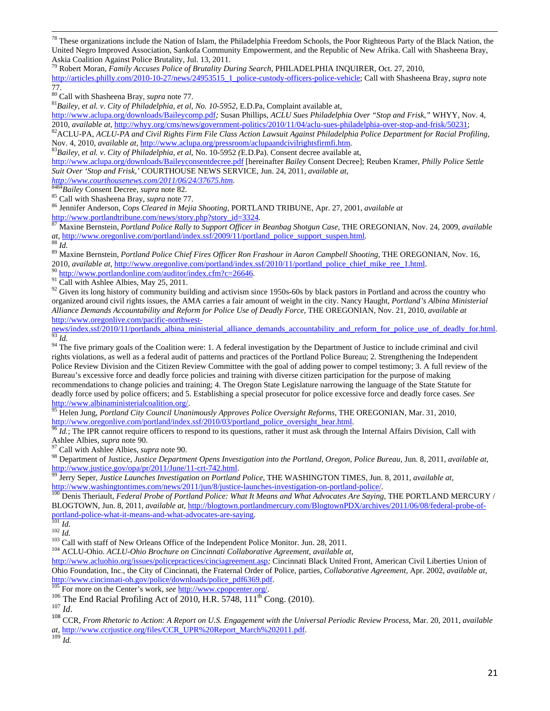$^{78}$  These organizations include the Nation of Islam, the Philadelphia Freedom Schools, the Poor Righteous Party of the Black Nation, the United Negro Improved Association, Sankofa Community Empowerment, and the Republic of New Afrika. Call with Shasheena Bray, Askia Coalition Against Police Brutality, Jul. 13, 2011.

79 Robert Moran, *Family Accuses Police of Brutality During Search,* PHILADELPHIA INQUIRER, Oct. 27, 2010, http://articles.philly.com/2010-10-27/news/24953515\_1\_police-custody-officers-police-vehicle; Call with Shasheena Bray, *supra* note

 $\overline{77}$ .<br><sup>80</sup> Call with Shasheena Bray, *supra* note 77.

<sup>81</sup> Bailey, et al. v. City of Philadelphia, et al, No. 10-5952, E.D.Pa, Complaint available at,

http://www.aclupa.org/downloads/Baileycomp.pdf*;* Susan Phillips, *ACLU Sues Philadelphia Over "Stop and Frisk,"* WHYY, Nov. 4,

82 ACLU-PA, ACLU-PA and Civil Rights Firm File Class Action Lawsuit Against Philadelphia Police Department for Racial Profiling, Nov. 4, 2010, *available at,* http://www.aclupa.org/pressroom/aclupaandcivilrightsfirmfi.htm. 83*Bailey, et al. v. City of Philadelphia, et al,* No. 10-5952 *(*E.D.Pa). Consent decree available at,

http://www.aclupa.org/downloads/Baileyconsentdecree.pdf [hereinafter *Bailey* Consent Decree]; Reuben Kramer, *Philly Police Settle Suit Over 'Stop and Frisk,' COURTHOUSE NEWS SERVICE, Jun. 24, 2011, <i>available at, http://www.courthousenews.com/2011/06/24/37675.htm.*<br><sup>8484</sup>*Bailey Consent Decree, supra note 82.* 

<sup>85</sup> Call with Shasheena Bray, *supra* note 77.<br>
<sup>86</sup> Jennifer Anderson, *Cops Cleared in Mejia Shooting*, PORTLAND TRIBUNE, Apr. 27, 2001, *available at*<br>
<u>http://www.portlandtribune.com/news/story.php?story\_id=3324</u>.<br>
<u></u>

http://www.portlandtribune.com/news/story.php?story\_id=3324. 87 Maxine Bernstein, *Portland Police Rally to Support Officer in Beanbag Shotgun Case,* THE OREGONIAN, Nov. 24, 2009, *available*  at, http://www.oregonlive.com/portland/index.ssf/2009/11/portland police support suspen.html.<br><sup>88</sup> Id.<br><sup>89</sup> Maxine Bernstein, *Portland Police Chief Fires Officer Ron Frashour in Aaron Campbell Shooting*, THE OREGONIAN, No

2010, *available at*, <u>http://www.oregonlive.com/portland/index.ssf/2010/11/portland\_police\_chief\_mike\_ree\_1.html. 90 http://www.portlandonline.com/auditor/index.cfm?c=26646. 91 Call with Ashlee Albies, May 25, 2011.</u>

 $92$  Given its long history of community building and activism since 1950s-60s by black pastors in Portland and across the country who organized around civil rights issues, the AMA carries a fair amount of weight in the city. Nancy Haught, *Portland's Albina Ministerial Alliance Demands Accountability and Reform for Police Use of Deadly Force,* THE OREGONIAN, Nov. 21, 2010, *available at* http://www.oregonlive.com/pacific-northwest-

news/index.ssf/2010/11/portlands albina ministerial alliance demands accountability and reform for police use of deadly for.html.<br><sup>93</sup> Id.<br><sup>94</sup> The five primary goals of the Coalition were: 1. A federal investigation by th

rights violations, as well as a federal audit of patterns and practices of the Portland Police Bureau; 2. Strengthening the Independent Police Review Division and the Citizen Review Committee with the goal of adding power to compel testimony; 3. A full review of the Bureau's excessive force and deadly force policies and training with diverse citizen participation for the purpose of making recommendations to change policies and training; 4. The Oregon State Legislature narrowing the language of the State Statute for deadly force used by police officers; and 5. Establishing a special prosecutor for police excessive force and deadly force cases. *See* http://www.albinaministerialcoalition.org/<br><sup>95</sup> Halan June *Parthur LGU, GU, WW*.

http://www.albinaministerialcoalition.org/. 95 Helen Jung, *Portland City Council Unanimously Approves Police Oversight Reforms,* THE OREGONIAN, Mar. 31, 2010, http://www.oregonlive.com/portland/index.ssf/2010/03/portland\_police\_oversight\_hear.html.<br><sup>96</sup> *Id.*; The IPR cannot require officers to respond to its questions, rather it must ask through the Internal Affairs Division,

Ashlee Albies, *supra* note 90.<br><sup>97</sup> Call with Ashlee Albies, *supra* note 90.<br><sup>98</sup> Department of Justice, Justice Department Opens Investigation into the Portland, Oregon, Police Bureau, Jun. 8, 2011, available at, http://www.justice.gov/opa/pr/2011/June/11-crt-742.html.<br><sup>99</sup> Jerry Seper, *Justice Launches Investigation on Portland Police*, THE WASHINGTON TIMES, Jun. 8, 2011, *available at*,

http://www.washingtontimes.com/news/2011/jun/8/justice-launches-investigation-on-portland-police/.<br><sup>100</sup> Denis Theriault, *Federal Probe of Portland Police: What It Means and What Advocates Are Saying*, THE PORTLAND MERCUR

BLOGTOWN, Jun. 8, 2011, *available at,* http://blogtown.portlandmercury.com/BlogtownPDX/archives/2011/06/08/federal-probe-ofportland-police-what-it-means-and-what-advocates-are-saying.<br>
<sup>101</sup> *Id.*<br>
<sup>102</sup> *Id.*<br>
<sup>102</sup> *Id.*<br>
<sup>103</sup> Call with staff of New Orleans Office of the Independent Police Monitor. Jun. 28, 2011.<br>
<sup>104</sup> ACLU-Ohio. *ACLU-Ohi* 

http://www.acluohio.org/issues/policepractices/cinciagreement.asp*;* Cincinnati Black United Front, American Civil Liberties Union of Ohio Foundation, Inc., the City of Cincinnati, the Fraternal Order of Police, parties, *Collaborative Agreement,* Apr. 2002, *available at,* 

<sup>105</sup> For more on the Center's work, *see* <u>http://www.cpopcenter.org/</u>.<br><sup>106</sup> The End Racial Profiling Act of 2010, H.R. 5748,  $111^{th}$  Cong. (2010).<br><sup>107</sup> Id.<br><sup>108</sup> CCR, From Rhetoric to Action: A Report on U.S. Engagem *at,* http://www.ccrjustice.org/files/CCR\_UPR%20Report\_March%202011.pdf. <sup>109</sup> *Id.*